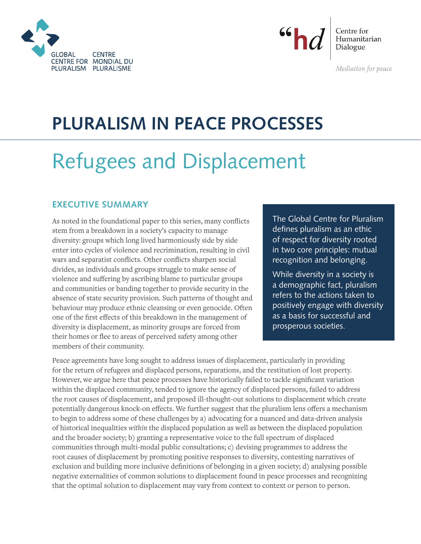



Centre for Humanitarian Dialogue

Mediation for peace

# **PLURALISM IN PEACE PROCESSES**

# Refugees and Displacement

# **EXECUTIVE SUMMARY**

As noted in the foundational paper to this series, many conflicts stem from a breakdown in a society's capacity to manage diversity: groups which long lived harmoniously side by side enter into cycles of violence and recrimination, resulting in civil wars and separatist conflicts. Other conflicts sharpen social divides, as individuals and groups struggle to make sense of violence and suffering by ascribing blame to particular groups and communities or banding together to provide security in the absence of state security provision. Such patterns of thought and behaviour may produce ethnic cleansing or even genocide. Often one of the first effects of this breakdown in the management of diversity is displacement, as minority groups are forced from their homes or flee to areas of perceived safety among other members of their community.

The Global Centre for Pluralism defines pluralism as an ethic of respect for diversity rooted in two core principles: mutual recognition and belonging.

While diversity in a society is a demographic fact, pluralism refers to the actions taken to positively engage with diversity as a basis for successful and prosperous societies.

Peace agreements have long sought to address issues of displacement, particularly in providing for the return of refugees and displaced persons, reparations, and the restitution of lost property. However, we argue here that peace processes have historically failed to tackle significant variation within the displaced community, tended to ignore the agency of displaced persons, failed to address the root causes of displacement, and proposed ill-thought-out solutions to displacement which create potentially dangerous knock-on effects. We further suggest that the pluralism lens offers a mechanism to begin to address some of these challenges by a) advocating for a nuanced and data-driven analysis of historical inequalities *within* the displaced population as well as between the displaced population and the broader society; b) granting a representative voice to the full spectrum of displaced communities through multi-modal public consultations; c) devising programmes to address the root causes of displacement by promoting positive responses to diversity, contesting narratives of exclusion and building more inclusive definitions of belonging in a given society; d) analysing possible negative externalities of common solutions to displacement found in peace processes and recognizing that the optimal solution to displacement may vary from context to context or person to person.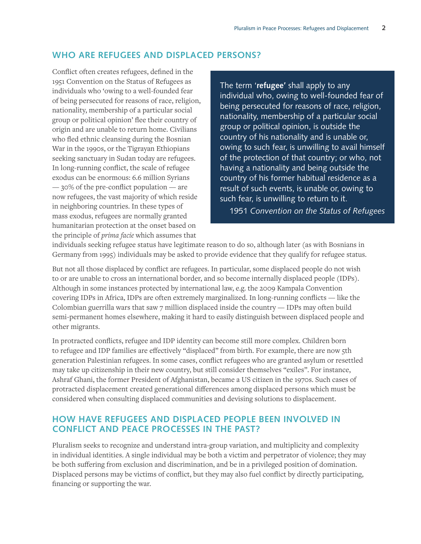# **WHO ARE REFUGEES AND DISPLACED PERSONS?**

Conflict often creates refugees, defined in the 1951 Convention on the Status of Refugees as individuals who 'owing to a well-founded fear of being persecuted for reasons of race, religion, nationality, membership of a particular social group or political opinion' flee their country of origin and are unable to return home. Civilians who fled ethnic cleansing during the Bosnian War in the 1990s, or the Tigrayan Ethiopians seeking sanctuary in Sudan today are refugees. In long-running conflict, the scale of refugee exodus can be enormous: 6.6 million Syrians — 30% of the pre-conflict population — are now refugees, the vast majority of which reside in neighboring countries. In these types of mass exodus, refugees are normally granted humanitarian protection at the onset based on the principle of *prima facie* which assumes that

The term '**refugee'** shall apply to any individual who, owing to well-founded fear of being persecuted for reasons of race, religion, nationality, membership of a particular social group or political opinion, is outside the country of his nationality and is unable or, owing to such fear, is unwilling to avail himself of the protection of that country; or who, not having a nationality and being outside the country of his former habitual residence as a result of such events, is unable or, owing to such fear, is unwilling to return to it. 1951 *Convention on the Status of Refugees*

individuals seeking refugee status have legitimate reason to do so, although later (as with Bosnians in Germany from 1995) individuals may be asked to provide evidence that they qualify for refugee status.

But not all those displaced by conflict are refugees. In particular, some displaced people do not wish to or are unable to cross an international border, and so become internally displaced people (IDPs). Although in some instances protected by international law, e.g. the 2009 Kampala Convention covering IDPs in Africa, IDPs are often extremely marginalized. In long-running conflicts — like the Colombian guerrilla wars that saw 7 million displaced inside the country — IDPs may often build semi-permanent homes elsewhere, making it hard to easily distinguish between displaced people and other migrants.

In protracted conflicts, refugee and IDP identity can become still more complex. Children born to refugee and IDP families are effectively "displaced" from birth. For example, there are now 5th generation Palestinian refugees. In some cases, conflict refugees who are granted asylum or resettled may take up citizenship in their new country, but still consider themselves "exiles". For instance, Ashraf Ghani, the former President of Afghanistan, became a US citizen in the 1970s. Such cases of protracted displacement created generational differences among displaced persons which must be considered when consulting displaced communities and devising solutions to displacement.

# **HOW HAVE REFUGEES AND DISPLACED PEOPLE BEEN INVOLVED IN CONFLICT AND PEACE PROCESSES IN THE PAST?**

Pluralism seeks to recognize and understand intra-group variation, and multiplicity and complexity in individual identities. A single individual may be both a victim and perpetrator of violence; they may be both suffering from exclusion and discrimination, and be in a privileged position of domination. Displaced persons may be victims of conflict, but they may also fuel conflict by directly participating, financing or supporting the war.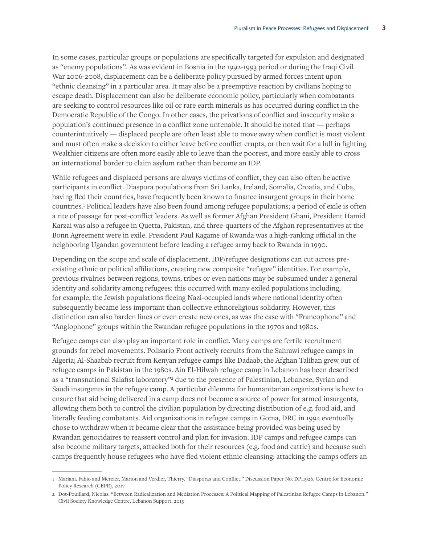In some cases, particular groups or populations are specifically targeted for expulsion and designated as "enemy populations". As was evident in Bosnia in the 1992-1993 period or during the Iraqi Civil War 2006-2008, displacement can be a deliberate policy pursued by armed forces intent upon "ethnic cleansing" in a particular area. It may also be a preemptive reaction by civilians hoping to escape death. Displacement can also be deliberate economic policy, particularly when combatants are seeking to control resources like oil or rare earth minerals as has occurred during conflict in the Democratic Republic of the Congo. In other cases, the privations of conflict and insecurity make a population's continued presence in a conflict zone untenable. It should be noted that — perhaps counterintuitively — displaced people are often least able to move away when conflict is most violent and must often make a decision to either leave before conflict erupts, or then wait for a lull in fighting. Wealthier citizens are often more easily able to leave than the poorest, and more easily able to cross an international border to claim asylum rather than become an IDP.

While refugees and displaced persons are always victims of conflict, they can also often be active participants in conflict. Diaspora populations from Sri Lanka, Ireland, Somalia, Croatia, and Cuba, having fled their countries, have frequently been known to finance insurgent groups in their home countries.1 Political leaders have also been found among refugee populations; a period of exile is often a rite of passage for post-conflict leaders. As well as former Afghan President Ghani, President Hamid Karzai was also a refugee in Quetta, Pakistan, and three-quarters of the Afghan representatives at the Bonn Agreement were in exile. President Paul Kagame of Rwanda was a high-ranking official in the neighboring Ugandan government before leading a refugee army back to Rwanda in 1990.

Depending on the scope and scale of displacement, IDP/refugee designations can cut across preexisting ethnic or political affiliations, creating new composite "refugee" identities. For example, previous rivalries between regions, towns, tribes or even nations may be subsumed under a general identity and solidarity among refugees: this occurred with many exiled populations including, for example, the Jewish populations fleeing Nazi-occupied lands where national identity often subsequently became less important than collective ethnoreligious solidarity. However, this distinction can also harden lines or even create new ones, as was the case with "Francophone" and "Anglophone" groups within the Rwandan refugee populations in the 1970s and 1980s.

Refugee camps can also play an important role in conflict. Many camps are fertile recruitment grounds for rebel movements. Polisario Front actively recruits from the Sahrawi refugee camps in Algeria; Al-Shaabab recruit from Kenyan refugee camps like Dadaab; the Afghan Taliban grew out of refugee camps in Pakistan in the 1980s. Ain El-Hilwah refugee camp in Lebanon has been described as a "transnational Salafist laboratory"<sup>2</sup> due to the presence of Palestinian, Lebanese, Syrian and Saudi insurgents in the refugee camp. A particular dilemma for humanitarian organizations is how to ensure that aid being delivered in a camp does not become a source of power for armed insurgents, allowing them both to control the civilian population by directing distribution of e.g. food aid, and literally feeding combatants. Aid organizations in refugee camps in Goma, DRC in 1994 eventually chose to withdraw when it became clear that the assistance being provided was being used by Rwandan genocidaires to reassert control and plan for invasion. IDP camps and refugee camps can also become military targets, attacked both for their resources (e.g. food and cattle) and because such camps frequently house refugees who have fled violent ethnic cleansing: attacking the camps offers an

<sup>1</sup> Mariani, Fabio and Mercier, Marion and Verdier, Thierry. "Diasporas and Conflict." Discussion Paper No. DP11926, Centre for Economic Policy Research (CEPR), 2017

<sup>2</sup> Dot-Pouillard, Nicolas. "Between Radicalization and Mediation Processes: A Political Mapping of Palestinian Refugee Camps in Lebanon." Civil Society Knowledge Centre, Lebanon Support, 2015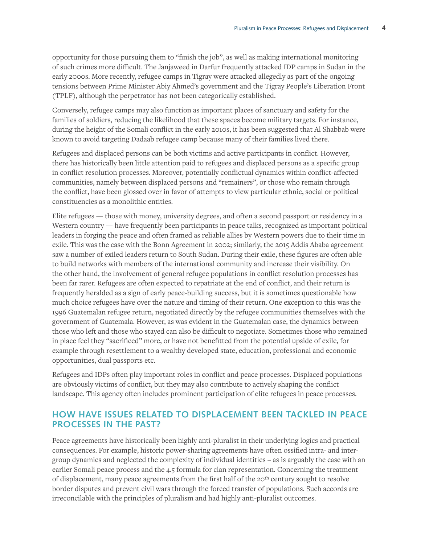opportunity for those pursuing them to "finish the job", as well as making international monitoring of such crimes more difficult. The Janjaweed in Darfur frequently attacked IDP camps in Sudan in the early 2000s. More recently, refugee camps in Tigray were attacked allegedly as part of the ongoing tensions between Prime Minister Abiy Ahmed's government and the Tigray People's Liberation Front (TPLF), although the perpetrator has not been categorically established.

Conversely, refugee camps may also function as important places of sanctuary and safety for the families of soldiers, reducing the likelihood that these spaces become military targets. For instance, during the height of the Somali conflict in the early 2010s, it has been suggested that Al Shabbab were known to avoid targeting Dadaab refugee camp because many of their families lived there.

Refugees and displaced persons can be both victims and active participants in conflict. However, there has historically been little attention paid to refugees and displaced persons as a specific group in conflict resolution processes. Moreover, potentially conflictual dynamics within conflict-affected communities, namely between displaced persons and "remainers", or those who remain through the conflict, have been glossed over in favor of attempts to view particular ethnic, social or political constituencies as a monolithic entities.

Elite refugees — those with money, university degrees, and often a second passport or residency in a Western country — have frequently been participants in peace talks, recognized as important political leaders in forging the peace and often framed as reliable allies by Western powers due to their time in exile. This was the case with the Bonn Agreement in 2002; similarly, the 2015 Addis Ababa agreement saw a number of exiled leaders return to South Sudan. During their exile, these figures are often able to build networks with members of the international community and increase their visibility. On the other hand, the involvement of general refugee populations in conflict resolution processes has been far rarer. Refugees are often expected to repatriate at the end of conflict, and their return is frequently heralded as a sign of early peace-building success, but it is sometimes questionable how much choice refugees have over the nature and timing of their return. One exception to this was the 1996 Guatemalan refugee return, negotiated directly by the refugee communities themselves with the government of Guatemala. However, as was evident in the Guatemalan case, the dynamics between those who left and those who stayed can also be difficult to negotiate. Sometimes those who remained in place feel they "sacrificed" more, or have not benefitted from the potential upside of exile, for example through resettlement to a wealthy developed state, education, professional and economic opportunities, dual passports etc.

Refugees and IDPs often play important roles in conflict and peace processes. Displaced populations are obviously victims of conflict, but they may also contribute to actively shaping the conflict landscape. This agency often includes prominent participation of elite refugees in peace processes.

#### **HOW HAVE ISSUES RELATED TO DISPLACEMENT BEEN TACKLED IN PEACE PROCESSES IN THE PAST?**

Peace agreements have historically been highly anti-pluralist in their underlying logics and practical consequences. For example, historic power-sharing agreements have often ossified intra- and intergroup dynamics and neglected the complexity of individual identities – as is arguably the case with an earlier Somali peace process and the 4.5 formula for clan representation. Concerning the treatment of displacement, many peace agreements from the first half of the 20th century sought to resolve border disputes and prevent civil wars through the forced transfer of populations. Such accords are irreconcilable with the principles of pluralism and had highly anti-pluralist outcomes.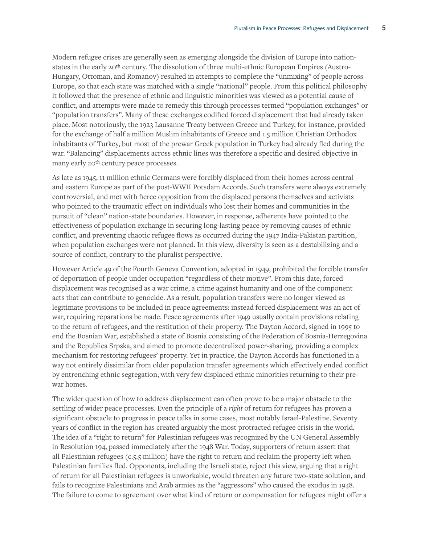Modern refugee crises are generally seen as emerging alongside the division of Europe into nationstates in the early 20th century. The dissolution of three multi-ethnic European Empires (Austro-Hungary, Ottoman, and Romanov) resulted in attempts to complete the "unmixing" of people across Europe, so that each state was matched with a single "national" people. From this political philosophy it followed that the presence of ethnic and linguistic minorities was viewed as a potential cause of conflict, and attempts were made to remedy this through processes termed "population exchanges" or "population transfers". Many of these exchanges codified forced displacement that had already taken place. Most notoriously, the 1923 Lausanne Treaty between Greece and Turkey, for instance, provided for the exchange of half a million Muslim inhabitants of Greece and 1.5 million Christian Orthodox inhabitants of Turkey, but most of the prewar Greek population in Turkey had already fled during the war. "Balancing" displacements across ethnic lines was therefore a specific and desired objective in many early 20<sup>th</sup> century peace processes.

As late as 1945, 11 million ethnic Germans were forcibly displaced from their homes across central and eastern Europe as part of the post-WWII Potsdam Accords. Such transfers were always extremely controversial, and met with fierce opposition from the displaced persons themselves and activists who pointed to the traumatic effect on individuals who lost their homes and communities in the pursuit of "clean" nation-state boundaries. However, in response, adherents have pointed to the effectiveness of population exchange in securing long-lasting peace by removing causes of ethnic conflict, and preventing chaotic refugee flows as occurred during the 1947 India-Pakistan partition, when population exchanges were not planned. In this view, diversity is seen as a destabilizing and a source of conflict, contrary to the pluralist perspective.

However Article 49 of the Fourth Geneva Convention, adopted in 1949, prohibited the forcible transfer of deportation of people under occupation "regardless of their motive". From this date, forced displacement was recognised as a war crime, a crime against humanity and one of the component acts that can contribute to genocide. As a result, population transfers were no longer viewed as legitimate provisions to be included in peace agreements: instead forced displacement was an act of war, requiring reparations be made. Peace agreements after 1949 usually contain provisions relating to the return of refugees, and the restitution of their property. The Dayton Accord, signed in 1995 to end the Bosnian War, established a state of Bosnia consisting of the Federation of Bosnia-Herzegovina and the Republica Srpska, and aimed to promote decentralized power-sharing, providing a complex mechanism for restoring refugees' property. Yet in practice, the Dayton Accords has functioned in a way not entirely dissimilar from older population transfer agreements which effectively ended conflict by entrenching ethnic segregation, with very few displaced ethnic minorities returning to their prewar homes.

The wider question of how to address displacement can often prove to be a major obstacle to the settling of wider peace processes. Even the principle of a *right* of return for refugees has proven a significant obstacle to progress in peace talks in some cases, most notably Israel-Palestine. Seventy years of conflict in the region has created arguably the most protracted refugee crisis in the world. The idea of a "right to return" for Palestinian refugees was recognized by the UN General Assembly in Resolution 194, passed immediately after the 1948 War. Today, supporters of return assert that all Palestinian refugees (c.5.5 million) have the right to return and reclaim the property left when Palestinian families fled. Opponents, including the Israeli state, reject this view, arguing that a right of return for all Palestinian refugees is unworkable, would threaten any future two-state solution, and fails to recognize Palestinians and Arab armies as the "aggressors" who caused the exodus in 1948. The failure to come to agreement over what kind of return or compensation for refugees might offer a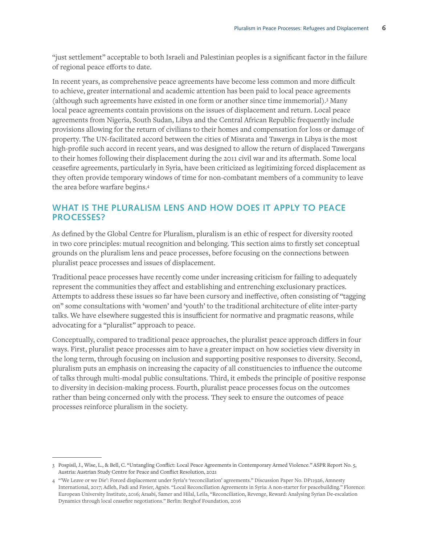"just settlement" acceptable to both Israeli and Palestinian peoples is a significant factor in the failure of regional peace efforts to date.

In recent years, as comprehensive peace agreements have become less common and more difficult to achieve, greater international and academic attention has been paid to local peace agreements (although such agreements have existed in one form or another since time immemorial).3 Many local peace agreements contain provisions on the issues of displacement and return. Local peace agreements from Nigeria, South Sudan, Libya and the Central African Republic frequently include provisions allowing for the return of civilians to their homes and compensation for loss or damage of property. The UN-facilitated accord between the cities of Misrata and Tawerga in Libya is the most high-profile such accord in recent years, and was designed to allow the return of displaced Tawergans to their homes following their displacement during the 2011 civil war and its aftermath. Some local ceasefire agreements, particularly in Syria, have been criticized as legitimizing forced displacement as they often provide temporary windows of time for non-combatant members of a community to leave the area before warfare begins.4

### **WHAT IS THE PLURALISM LENS AND HOW DOES IT APPLY TO PEACE PROCESSES?**

As defined by the Global Centre for Pluralism, pluralism is an ethic of respect for diversity rooted in two core principles: mutual recognition and belonging. This section aims to firstly set conceptual grounds on the pluralism lens and peace processes, before focusing on the connections between pluralist peace processes and issues of displacement.

Traditional peace processes have recently come under increasing criticism for failing to adequately represent the communities they affect and establishing and entrenching exclusionary practices. Attempts to address these issues so far have been cursory and ineffective, often consisting of "tagging on" some consultations with 'women' and 'youth' to the traditional architecture of elite inter-party talks. We have elsewhere suggested this is insufficient for normative and pragmatic reasons, while advocating for a "pluralist" approach to peace.

Conceptually, compared to traditional peace approaches, the pluralist peace approach differs in four ways. First, pluralist peace processes aim to have a greater impact on how societies view diversity in the long term, through focusing on inclusion and supporting positive responses to diversity. Second, pluralism puts an emphasis on increasing the capacity of all constituencies to influence the outcome of talks through multi-modal public consultations. Third, it embeds the principle of positive response to diversity in decision-making process. Fourth, pluralist peace processes focus on the outcomes rather than being concerned only with the process. They seek to ensure the outcomes of peace processes reinforce pluralism in the society.

<sup>3</sup> Pospisil, J., Wise, L., & Bell, C. "Untangling Conflict: Local Peace Agreements in Contemporary Armed Violence*."* ASPR Report No. 5, Austria: Austrian Study Centre for Peace and Conflict Resolution, 2021

<sup>4</sup> "'We Leave or we Die': Forced displacement under Syria's 'reconciliation' agreements." Discussion Paper No. DP11926, Amnesty International, 2017; Adleh, Fadi and Favier, Agnès. "Local Reconciliation Agreements in Syria: A non-starter for peacebuilding." Florence: European University Institute, 2016; Araabi, Samer and Hilal, Leila, "Reconciliation, Revenge, Reward: Analysing Syrian De-escalation Dynamics through local ceasefire negotiations." Berlin: Berghof Foundation, 2016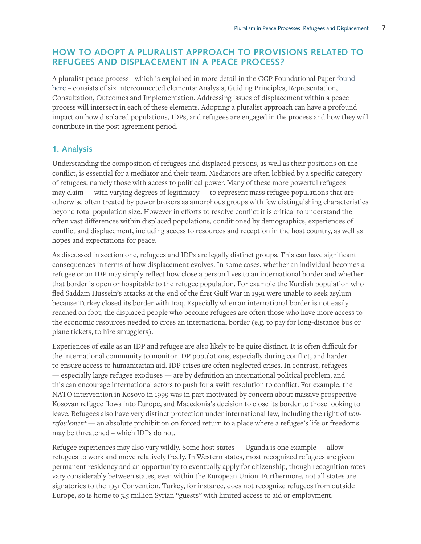# **HOW TO ADOPT A PLURALIST APPROACH TO PROVISIONS RELATED TO REFUGEES AND DISPLACEMENT IN A PEACE PROCESS?**

A pluralist peace process - which is explained in more detail in the GCP Foundational Paper found here – consists of six interconnected elements: Analysis, Guiding Principles, Representation, Consultation, Outcomes and Implementation. Addressing issues of displacement within a peace process will intersect in each of these elements. Adopting a pluralist approach can have a profound impact on how displaced populations, IDPs, and refugees are engaged in the process and how they will contribute in the post agreement period.

#### **1. Analysis**

Understanding the composition of refugees and displaced persons, as well as their positions on the conflict, is essential for a mediator and their team. Mediators are often lobbied by a specific category of refugees, namely those with access to political power. Many of these more powerful refugees may claim — with varying degrees of legitimacy — to represent mass refugee populations that are otherwise often treated by power brokers as amorphous groups with few distinguishing characteristics beyond total population size. However in efforts to resolve conflict it is critical to understand the often vast differences within displaced populations, conditioned by demographics, experiences of conflict and displacement, including access to resources and reception in the host country, as well as hopes and expectations for peace.

As discussed in section one, refugees and IDPs are legally distinct groups. This can have significant consequences in terms of how displacement evolves. In some cases, whether an individual becomes a refugee or an IDP may simply reflect how close a person lives to an international border and whether that border is open or hospitable to the refugee population. For example the Kurdish population who fled Saddam Hussein's attacks at the end of the first Gulf War in 1991 were unable to seek asylum because Turkey closed its border with Iraq. Especially when an international border is not easily reached on foot, the displaced people who become refugees are often those who have more access to the economic resources needed to cross an international border (e.g. to pay for long-distance bus or plane tickets, to hire smugglers).

Experiences of exile as an IDP and refugee are also likely to be quite distinct. It is often difficult for the international community to monitor IDP populations, especially during conflict, and harder to ensure access to humanitarian aid. IDP crises are often neglected crises. In contrast, refugees — especially large refugee exoduses — are by definition an international political problem, and this can encourage international actors to push for a swift resolution to conflict. For example, the NATO intervention in Kosovo in 1999 was in part motivated by concern about massive prospective Kosovan refugee flows into Europe, and Macedonia's decision to close its border to those looking to leave. Refugees also have very distinct protection under international law, including the right of *nonrefoulement* — an absolute prohibition on forced return to a place where a refugee's life or freedoms may be threatened – which IDPs do not.

Refugee experiences may also vary wildly. Some host states — Uganda is one example — allow refugees to work and move relatively freely. In Western states, most recognized refugees are given permanent residency and an opportunity to eventually apply for citizenship, though recognition rates vary considerably between states, even within the European Union. Furthermore, not all states are signatories to the 1951 Convention. Turkey, for instance, does not recognize refugees from outside Europe, so is home to 3.5 million Syrian "guests" with limited access to aid or employment.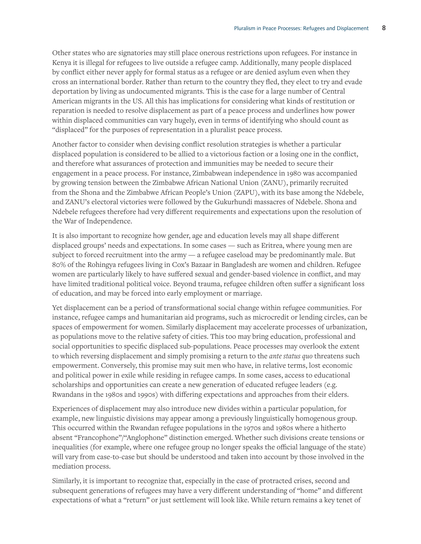Other states who are signatories may still place onerous restrictions upon refugees. For instance in Kenya it is illegal for refugees to live outside a refugee camp. Additionally, many people displaced by conflict either never apply for formal status as a refugee or are denied asylum even when they cross an international border. Rather than return to the country they fled, they elect to try and evade deportation by living as undocumented migrants. This is the case for a large number of Central American migrants in the US. All this has implications for considering what kinds of restitution or reparation is needed to resolve displacement as part of a peace process and underlines how power within displaced communities can vary hugely, even in terms of identifying who should count as "displaced" for the purposes of representation in a pluralist peace process.

Another factor to consider when devising conflict resolution strategies is whether a particular displaced population is considered to be allied to a victorious faction or a losing one in the conflict, and therefore what assurances of protection and immunities may be needed to secure their engagement in a peace process. For instance, Zimbabwean independence in 1980 was accompanied by growing tension between the Zimbabwe African National Union (ZANU), primarily recruited from the Shona and the Zimbabwe African People's Union (ZAPU), with its base among the Ndebele, and ZANU's electoral victories were followed by the Gukurhundi massacres of Ndebele. Shona and Ndebele refugees therefore had very different requirements and expectations upon the resolution of the War of Independence.

It is also important to recognize how gender, age and education levels may all shape different displaced groups' needs and expectations. In some cases — such as Eritrea, where young men are subject to forced recruitment into the army — a refugee caseload may be predominantly male. But 80% of the Rohingya refugees living in Cox's Bazaar in Bangladesh are women and children. Refugee women are particularly likely to have suffered sexual and gender-based violence in conflict, and may have limited traditional political voice. Beyond trauma, refugee children often suffer a significant loss of education, and may be forced into early employment or marriage.

Yet displacement can be a period of transformational social change within refugee communities. For instance, refugee camps and humanitarian aid programs, such as microcredit or lending circles, can be spaces of empowerment for women. Similarly displacement may accelerate processes of urbanization, as populations move to the relative safety of cities. This too may bring education, professional and social opportunities to specific displaced sub-populations. Peace processes may overlook the extent to which reversing displacement and simply promising a return to the *ante status quo* threatens such empowerment. Conversely, this promise may suit men who have, in relative terms, lost economic and political power in exile while residing in refugee camps. In some cases, access to educational scholarships and opportunities can create a new generation of educated refugee leaders (e.g. Rwandans in the 1980s and 1990s) with differing expectations and approaches from their elders.

Experiences of displacement may also introduce new divides within a particular population, for example, new linguistic divisions may appear among a previously linguistically homogenous group. This occurred within the Rwandan refugee populations in the 1970s and 1980s where a hitherto absent "Francophone"/"Anglophone" distinction emerged. Whether such divisions create tensions or inequalities (for example, where one refugee group no longer speaks the official language of the state) will vary from case-to-case but should be understood and taken into account by those involved in the mediation process.

Similarly, it is important to recognize that, especially in the case of protracted crises, second and subsequent generations of refugees may have a very different understanding of "home" and different expectations of what a "return" or just settlement will look like. While return remains a key tenet of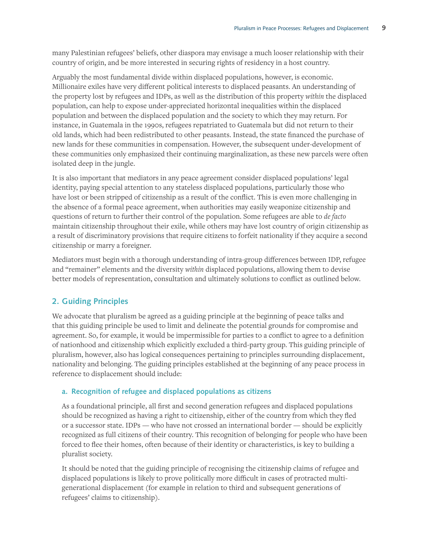many Palestinian refugees' beliefs, other diaspora may envisage a much looser relationship with their country of origin, and be more interested in securing rights of residency in a host country.

Arguably the most fundamental divide within displaced populations, however, is economic. Millionaire exiles have very different political interests to displaced peasants. An understanding of the property lost by refugees and IDPs, as well as the distribution of this property *within* the displaced population, can help to expose under-appreciated horizontal inequalities within the displaced population and between the displaced population and the society to which they may return. For instance, in Guatemala in the 1990s, refugees repatriated to Guatemala but did not return to their old lands, which had been redistributed to other peasants. Instead, the state financed the purchase of new lands for these communities in compensation. However, the subsequent under-development of these communities only emphasized their continuing marginalization, as these new parcels were often isolated deep in the jungle.

It is also important that mediators in any peace agreement consider displaced populations' legal identity, paying special attention to any stateless displaced populations, particularly those who have lost or been stripped of citizenship as a result of the conflict. This is even more challenging in the absence of a formal peace agreement, when authorities may easily weaponize citizenship and questions of return to further their control of the population. Some refugees are able to *de facto*  maintain citizenship throughout their exile, while others may have lost country of origin citizenship as a result of discriminatory provisions that require citizens to forfeit nationality if they acquire a second citizenship or marry a foreigner.

Mediators must begin with a thorough understanding of intra-group differences between IDP, refugee and "remainer" elements and the diversity *within* displaced populations, allowing them to devise better models of representation, consultation and ultimately solutions to conflict as outlined below.

# **2. Guiding Principles**

We advocate that pluralism be agreed as a guiding principle at the beginning of peace talks and that this guiding principle be used to limit and delineate the potential grounds for compromise and agreement. So, for example, it would be impermissible for parties to a conflict to agree to a definition of nationhood and citizenship which explicitly excluded a third-party group. This guiding principle of pluralism, however, also has logical consequences pertaining to principles surrounding displacement, nationality and belonging. The guiding principles established at the beginning of any peace process in reference to displacement should include:

#### **a. Recognition of refugee and displaced populations as citizens**

As a foundational principle, all first and second generation refugees and displaced populations should be recognized as having a right to citizenship, either of the country from which they fled or a successor state. IDPs — who have not crossed an international border — should be explicitly recognized as full citizens of their country. This recognition of belonging for people who have been forced to flee their homes, often because of their identity or characteristics, is key to building a pluralist society.

It should be noted that the guiding principle of recognising the citizenship claims of refugee and displaced populations is likely to prove politically more difficult in cases of protracted multigenerational displacement (for example in relation to third and subsequent generations of refugees' claims to citizenship).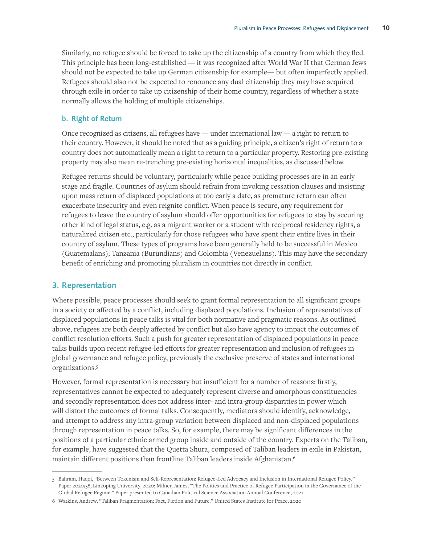Similarly, no refugee should be forced to take up the citizenship of a country from which they fled. This principle has been long-established — it was recognized after World War II that German Jews should not be expected to take up German citizenship for example— but often imperfectly applied. Refugees should also not be expected to renounce any dual citizenship they may have acquired through exile in order to take up citizenship of their home country, regardless of whether a state normally allows the holding of multiple citizenships.

#### **b. Right of Return**

Once recognized as citizens, all refugees have — under international law — a right to return to their country. However, it should be noted that as a guiding principle, a citizen's right of return to a country does not automatically mean a right to return to a particular property. Restoring pre-existing property may also mean re-trenching pre-existing horizontal inequalities, as discussed below.

Refugee returns should be voluntary, particularly while peace building processes are in an early stage and fragile. Countries of asylum should refrain from invoking cessation clauses and insisting upon mass return of displaced populations at too early a date, as premature return can often exacerbate insecurity and even reignite conflict. When peace is secure, any requirement for refugees to leave the country of asylum should offer opportunities for refugees to stay by securing other kind of legal status, e.g. as a migrant worker or a student with reciprocal residency rights, a naturalized citizen etc., particularly for those refugees who have spent their entire lives in their country of asylum. These types of programs have been generally held to be successful in Mexico (Guatemalans); Tanzania (Burundians) and Colombia (Venezuelans). This may have the secondary benefit of enriching and promoting pluralism in countries not directly in conflict.

#### **3. Representation**

Where possible, peace processes should seek to grant formal representation to all significant groups in a society or affected by a conflict, including displaced populations. Inclusion of representatives of displaced populations in peace talks is vital for both normative and pragmatic reasons. As outlined above, refugees are both deeply affected by conflict but also have agency to impact the outcomes of conflict resolution efforts. Such a push for greater representation of displaced populations in peace talks builds upon recent refugee-led efforts for greater representation and inclusion of refugees in global governance and refugee policy, previously the exclusive preserve of states and international organizations.5

However, formal representation is necessary but insufficient for a number of reasons: firstly, representatives cannot be expected to adequately represent diverse and amorphous constituencies and secondly representation does not address inter- and intra-group disparities in power which will distort the outcomes of formal talks. Consequently, mediators should identify, acknowledge, and attempt to address any intra-group variation between displaced and non-displaced populations through representation in peace talks. So, for example, there may be significant differences in the positions of a particular ethnic armed group inside and outside of the country. Experts on the Taliban, for example, have suggested that the Quetta Shura, composed of Taliban leaders in exile in Pakistan, maintain different positions than frontline Taliban leaders inside Afghanistan.6

<sup>5</sup> Bahram, Haqqi, "Between Tokenism and Self-Representation: Refugee-Led Advocacy and Inclusion in International Refugee Policy." Paper 2020/58, Linköping University, 2020; Milner, James, "The Politics and Practice of Refugee Participation in the Governance of the Global Refugee Regime." Paper presented to Canadian Political Science Association Annual Conference, 2021

<sup>6</sup> Watkins, Andrew, "Taliban Fragmentation: Fact, Fiction and Future." United States Institute for Peace, 2020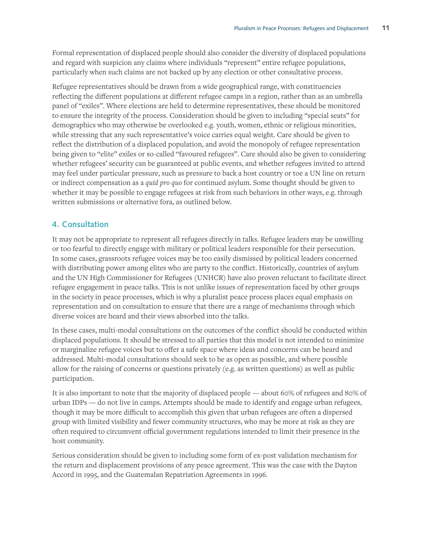Formal representation of displaced people should also consider the diversity of displaced populations and regard with suspicion any claims where individuals "represent" entire refugee populations, particularly when such claims are not backed up by any election or other consultative process.

Refugee representatives should be drawn from a wide geographical range, with constituencies reflecting the different populations at different refugee camps in a region, rather than as an umbrella panel of "exiles". Where elections are held to determine representatives, these should be monitored to ensure the integrity of the process. Consideration should be given to including "special seats" for demographics who may otherwise be overlooked e.g. youth, women, ethnic or religious minorities, while stressing that any such representative's voice carries equal weight. Care should be given to reflect the distribution of a displaced population, and avoid the monopoly of refugee representation being given to "elite" exiles or so-called "favoured refugees". Care should also be given to considering whether refugees' security can be guaranteed at public events, and whether refugees invited to attend may feel under particular pressure, such as pressure to back a host country or toe a UN line on return or indirect compensation as a *quid pro quo* for continued asylum. Some thought should be given to whether it may be possible to engage refugees at risk from such behaviors in other ways, e.g. through written submissions or alternative fora, as outlined below.

# **4. Consultation**

It may not be appropriate to represent all refugees directly in talks. Refugee leaders may be unwilling or too fearful to directly engage with military or political leaders responsible for their persecution. In some cases, grassroots refugee voices may be too easily dismissed by political leaders concerned with distributing power among elites who are party to the conflict. Historically, countries of asylum and the UN High Commissioner for Refugees (UNHCR) have also proven reluctant to facilitate direct refugee engagement in peace talks. This is not unlike issues of representation faced by other groups in the society in peace processes, which is why a pluralist peace process places equal emphasis on representation and on consultation to ensure that there are a range of mechanisms through which diverse voices are heard and their views absorbed into the talks.

In these cases, multi-modal consultations on the outcomes of the conflict should be conducted within displaced populations. It should be stressed to all parties that this model is not intended to minimize or marginalize refugee voices but to offer a safe space where ideas and concerns can be heard and addressed. Multi-modal consultations should seek to be as open as possible, and where possible allow for the raising of concerns or questions privately (e.g. as written questions) as well as public participation.

It is also important to note that the majority of displaced people — about 60% of refugees and 80% of urban IDPs — do not live in camps. Attempts should be made to identify and engage urban refugees, though it may be more difficult to accomplish this given that urban refugees are often a dispersed group with limited visibility and fewer community structures, who may be more at risk as they are often required to circumvent official government regulations intended to limit their presence in the host community.

Serious consideration should be given to including some form of ex-post validation mechanism for the return and displacement provisions of any peace agreement. This was the case with the Dayton Accord in 1995, and the Guatemalan Repatriation Agreements in 1996.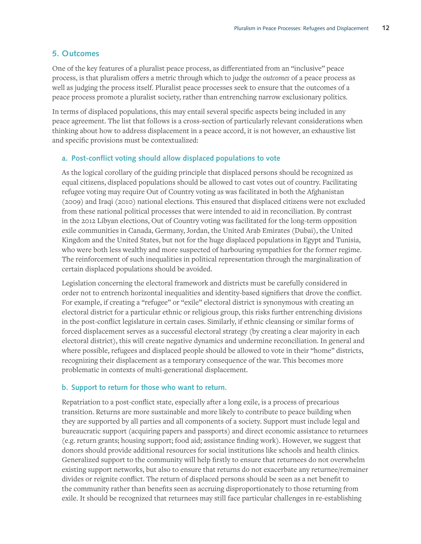#### **5. Outcomes**

One of the key features of a pluralist peace process, as differentiated from an "inclusive" peace process, is that pluralism offers a metric through which to judge the *outcomes* of a peace process as well as judging the process itself. Pluralist peace processes seek to ensure that the outcomes of a peace process promote a pluralist society, rather than entrenching narrow exclusionary politics.

In terms of displaced populations, this may entail several specific aspects being included in any peace agreement. The list that follows is a cross-section of particularly relevant considerations when thinking about how to address displacement in a peace accord, it is not however, an exhaustive list and specific provisions must be contextualized:

#### **a. Post-conflict voting should allow displaced populations to vote**

As the logical corollary of the guiding principle that displaced persons should be recognized as equal citizens, displaced populations should be allowed to cast votes out of country. Facilitating refugee voting may require Out of Country voting as was facilitated in both the Afghanistan (2009) and Iraqi (2010) national elections. This ensured that displaced citizens were not excluded from these national political processes that were intended to aid in reconciliation. By contrast in the 2012 Libyan elections, Out of Country voting was facilitated for the long-term opposition exile communities in Canada, Germany, Jordan, the United Arab Emirates (Dubai), the United Kingdom and the United States, but not for the huge displaced populations in Egypt and Tunisia, who were both less wealthy and more suspected of harbouring sympathies for the former regime. The reinforcement of such inequalities in political representation through the marginalization of certain displaced populations should be avoided.

Legislation concerning the electoral framework and districts must be carefully considered in order not to entrench horizontal inequalities and identity-based signifiers that drove the conflict. For example, if creating a "refugee" or "exile" electoral district is synonymous with creating an electoral district for a particular ethnic or religious group, this risks further entrenching divisions in the post-conflict legislature in certain cases. Similarly, if ethnic cleansing or similar forms of forced displacement serves as a successful electoral strategy (by creating a clear majority in each electoral district), this will create negative dynamics and undermine reconciliation. In general and where possible, refugees and displaced people should be allowed to vote in their "home" districts, recognizing their displacement as a temporary consequence of the war. This becomes more problematic in contexts of multi-generational displacement.

#### **b. Support to return for those who want to return.**

Repatriation to a post-conflict state, especially after a long exile, is a process of precarious transition. Returns are more sustainable and more likely to contribute to peace building when they are supported by all parties and all components of a society. Support must include legal and bureaucratic support (acquiring papers and passports) and direct economic assistance to returnees (e.g. return grants; housing support; food aid; assistance finding work). However, we suggest that donors should provide additional resources for social institutions like schools and health clinics. Generalized support to the community will help firstly to ensure that returnees do not overwhelm existing support networks, but also to ensure that returns do not exacerbate any returnee/remainer divides or reignite conflict. The return of displaced persons should be seen as a net benefit to the community rather than benefits seen as accruing disproportionately to those returning from exile. It should be recognized that returnees may still face particular challenges in re-establishing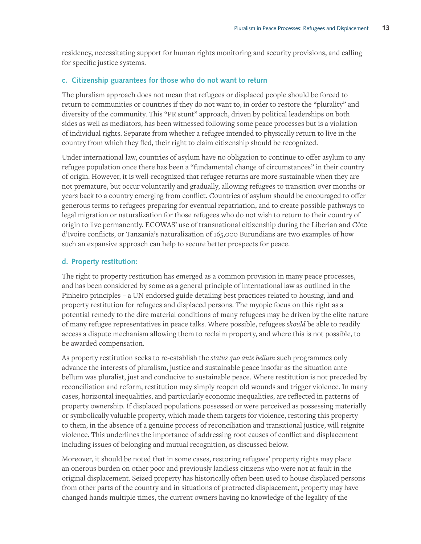residency, necessitating support for human rights monitoring and security provisions, and calling for specific justice systems.

#### **c. Citizenship guarantees for those who do not want to return**

The pluralism approach does not mean that refugees or displaced people should be forced to return to communities or countries if they do not want to, in order to restore the "plurality" and diversity of the community. This "PR stunt" approach, driven by political leaderships on both sides as well as mediators, has been witnessed following some peace processes but is a violation of individual rights. Separate from whether a refugee intended to physically return to live in the country from which they fled, their right to claim citizenship should be recognized.

Under international law, countries of asylum have no obligation to continue to offer asylum to any refugee population once there has been a "fundamental change of circumstances" in their country of origin. However, it is well-recognized that refugee returns are more sustainable when they are not premature, but occur voluntarily and gradually, allowing refugees to transition over months or years back to a country emerging from conflict. Countries of asylum should be encouraged to offer generous terms to refugees preparing for eventual repatriation, and to create possible pathways to legal migration or naturalization for those refugees who do not wish to return to their country of origin to live permanently. ECOWAS' use of transnational citizenship during the Liberian and Côte d'Ivoire conflicts, or Tanzania's naturalization of 165,000 Burundians are two examples of how such an expansive approach can help to secure better prospects for peace.

#### **d. Property restitution:**

The right to property restitution has emerged as a common provision in many peace processes, and has been considered by some as a general principle of international law as outlined in the Pinheiro principles – a UN endorsed guide detailing best practices related to housing, land and property restitution for refugees and displaced persons. The myopic focus on this right as a potential remedy to the dire material conditions of many refugees may be driven by the elite nature of many refugee representatives in peace talks. Where possible, refugees *should* be able to readily access a dispute mechanism allowing them to reclaim property, and where this is not possible, to be awarded compensation.

As property restitution seeks to re-establish the *status quo ante bellum* such programmes only advance the interests of pluralism, justice and sustainable peace insofar as the situation ante bellum was pluralist, just and conducive to sustainable peace. Where restitution is not preceded by reconciliation and reform, restitution may simply reopen old wounds and trigger violence. In many cases, horizontal inequalities, and particularly economic inequalities, are reflected in patterns of property ownership. If displaced populations possessed or were perceived as possessing materially or symbolically valuable property, which made them targets for violence, restoring this property to them, in the absence of a genuine process of reconciliation and transitional justice, will reignite violence. This underlines the importance of addressing root causes of conflict and displacement including issues of belonging and mutual recognition, as discussed below.

Moreover, it should be noted that in some cases, restoring refugees' property rights may place an onerous burden on other poor and previously landless citizens who were not at fault in the original displacement. Seized property has historically often been used to house displaced persons from other parts of the country and in situations of protracted displacement, property may have changed hands multiple times, the current owners having no knowledge of the legality of the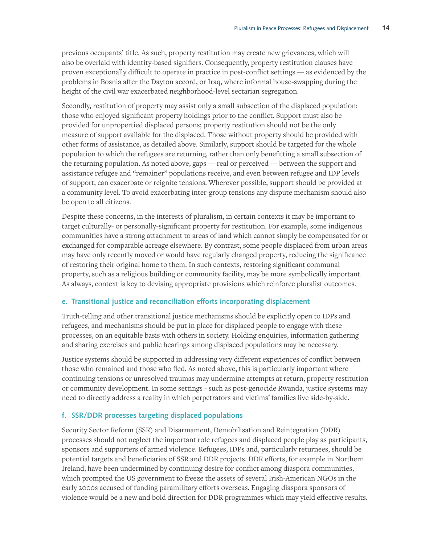previous occupants' title. As such, property restitution may create new grievances, which will also be overlaid with identity-based signifiers. Consequently, property restitution clauses have proven exceptionally difficult to operate in practice in post-conflict settings — as evidenced by the problems in Bosnia after the Dayton accord, or Iraq, where informal house-swapping during the height of the civil war exacerbated neighborhood-level sectarian segregation.

Secondly, restitution of property may assist only a small subsection of the displaced population: those who enjoyed significant property holdings prior to the conflict. Support must also be provided for unpropertied displaced persons; property restitution should not be the only measure of support available for the displaced. Those without property should be provided with other forms of assistance, as detailed above. Similarly, support should be targeted for the whole population to which the refugees are returning, rather than only benefitting a small subsection of the returning population. As noted above, gaps — real or perceived — between the support and assistance refugee and "remainer" populations receive, and even between refugee and IDP levels of support, can exacerbate or reignite tensions. Wherever possible, support should be provided at a community level. To avoid exacerbating inter-group tensions any dispute mechanism should also be open to all citizens.

Despite these concerns, in the interests of pluralism, in certain contexts it may be important to target culturally- or personally-significant property for restitution. For example, some indigenous communities have a strong attachment to areas of land which cannot simply be compensated for or exchanged for comparable acreage elsewhere. By contrast, some people displaced from urban areas may have only recently moved or would have regularly changed property, reducing the significance of restoring their original home to them. In such contexts, restoring significant communal property, such as a religious building or community facility, may be more symbolically important. As always, context is key to devising appropriate provisions which reinforce pluralist outcomes.

#### **e. Transitional justice and reconciliation efforts incorporating displacement**

Truth-telling and other transitional justice mechanisms should be explicitly open to IDPs and refugees, and mechanisms should be put in place for displaced people to engage with these processes, on an equitable basis with others in society. Holding enquiries, information gathering and sharing exercises and public hearings among displaced populations may be necessary.

Justice systems should be supported in addressing very different experiences of conflict between those who remained and those who fled. As noted above, this is particularly important where continuing tensions or unresolved traumas may undermine attempts at return, property restitution or community development. In some settings - such as post-genocide Rwanda, justice systems may need to directly address a reality in which perpetrators and victims' families live side-by-side.

#### **f. SSR/DDR processes targeting displaced populations**

Security Sector Reform (SSR) and Disarmament, Demobilisation and Reintegration (DDR) processes should not neglect the important role refugees and displaced people play as participants, sponsors and supporters of armed violence. Refugees, IDPs and, particularly returnees, should be potential targets and beneficiaries of SSR and DDR projects. DDR efforts, for example in Northern Ireland, have been undermined by continuing desire for conflict among diaspora communities, which prompted the US government to freeze the assets of several Irish-American NGOs in the early 2000s accused of funding paramilitary efforts overseas. Engaging diaspora sponsors of violence would be a new and bold direction for DDR programmes which may yield effective results.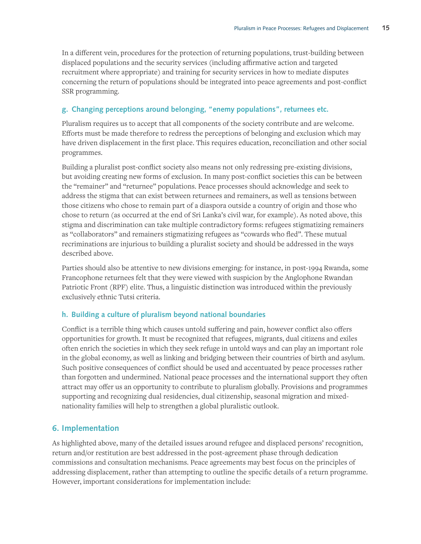In a different vein, procedures for the protection of returning populations, trust-building between displaced populations and the security services (including affirmative action and targeted recruitment where appropriate) and training for security services in how to mediate disputes concerning the return of populations should be integrated into peace agreements and post-conflict SSR programming.

#### **g. Changing perceptions around belonging, "enemy populations", returnees etc.**

Pluralism requires us to accept that all components of the society contribute and are welcome. Efforts must be made therefore to redress the perceptions of belonging and exclusion which may have driven displacement in the first place. This requires education, reconciliation and other social programmes.

Building a pluralist post-conflict society also means not only redressing pre-existing divisions, but avoiding creating new forms of exclusion. In many post-conflict societies this can be between the "remainer" and "returnee" populations. Peace processes should acknowledge and seek to address the stigma that can exist between returnees and remainers, as well as tensions between those citizens who chose to remain part of a diaspora outside a country of origin and those who chose to return (as occurred at the end of Sri Lanka's civil war, for example). As noted above, this stigma and discrimination can take multiple contradictory forms: refugees stigmatizing remainers as "collaborators" and remainers stigmatizing refugees as "cowards who fled". These mutual recriminations are injurious to building a pluralist society and should be addressed in the ways described above.

Parties should also be attentive to new divisions emerging: for instance, in post-1994 Rwanda, some Francophone returnees felt that they were viewed with suspicion by the Anglophone Rwandan Patriotic Front (RPF) elite. Thus, a linguistic distinction was introduced within the previously exclusively ethnic Tutsi criteria.

#### **h. Building a culture of pluralism beyond national boundaries**

Conflict is a terrible thing which causes untold suffering and pain, however conflict also offers opportunities for growth. It must be recognized that refugees, migrants, dual citizens and exiles often enrich the societies in which they seek refuge in untold ways and can play an important role in the global economy, as well as linking and bridging between their countries of birth and asylum. Such positive consequences of conflict should be used and accentuated by peace processes rather than forgotten and undermined. National peace processes and the international support they often attract may offer us an opportunity to contribute to pluralism globally. Provisions and programmes supporting and recognizing dual residencies, dual citizenship, seasonal migration and mixednationality families will help to strengthen a global pluralistic outlook.

# **6. Implementation**

As highlighted above, many of the detailed issues around refugee and displaced persons' recognition, return and/or restitution are best addressed in the post-agreement phase through dedication commissions and consultation mechanisms. Peace agreements may best focus on the principles of addressing displacement, rather than attempting to outline the specific details of a return programme. However, important considerations for implementation include: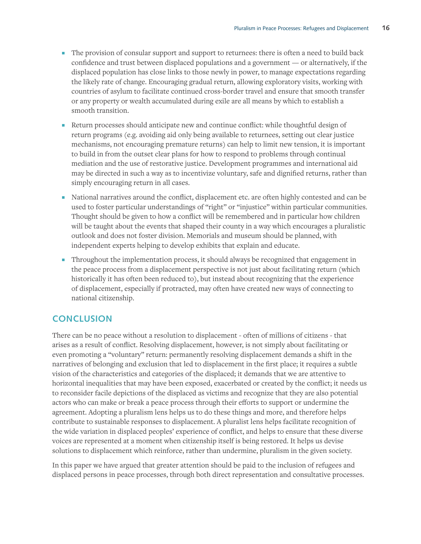- ɋ The provision of consular support and support to returnees: there is often a need to build back confidence and trust between displaced populations and a government — or alternatively, if the displaced population has close links to those newly in power, to manage expectations regarding the likely rate of change. Encouraging gradual return, allowing exploratory visits, working with countries of asylum to facilitate continued cross-border travel and ensure that smooth transfer or any property or wealth accumulated during exile are all means by which to establish a smooth transition.
- ɋ Return processes should anticipate new and continue conflict: while thoughtful design of return programs (e.g. avoiding aid only being available to returnees, setting out clear justice mechanisms, not encouraging premature returns) can help to limit new tension, it is important to build in from the outset clear plans for how to respond to problems through continual mediation and the use of restorative justice. Development programmes and international aid may be directed in such a way as to incentivize voluntary, safe and dignified returns, rather than simply encouraging return in all cases.
- ɋ National narratives around the conflict, displacement etc. are often highly contested and can be used to foster particular understandings of "right" or "injustice" within particular communities. Thought should be given to how a conflict will be remembered and in particular how children will be taught about the events that shaped their county in a way which encourages a pluralistic outlook and does not foster division. Memorials and museum should be planned, with independent experts helping to develop exhibits that explain and educate.
- ɋ Throughout the implementation process, it should always be recognized that engagement in the peace process from a displacement perspective is not just about facilitating return (which historically it has often been reduced to), but instead about recognizing that the experience of displacement, especially if protracted, may often have created new ways of connecting to national citizenship.

# **CONCLUSION**

There can be no peace without a resolution to displacement - often of millions of citizens - that arises as a result of conflict. Resolving displacement, however, is not simply about facilitating or even promoting a "voluntary" return: permanently resolving displacement demands a shift in the narratives of belonging and exclusion that led to displacement in the first place; it requires a subtle vision of the characteristics and categories of the displaced; it demands that we are attentive to horizontal inequalities that may have been exposed, exacerbated or created by the conflict; it needs us to reconsider facile depictions of the displaced as victims and recognize that they are also potential actors who can make or break a peace process through their efforts to support or undermine the agreement. Adopting a pluralism lens helps us to do these things and more, and therefore helps contribute to sustainable responses to displacement. A pluralist lens helps facilitate recognition of the wide variation in displaced peoples' experience of conflict, and helps to ensure that these diverse voices are represented at a moment when citizenship itself is being restored. It helps us devise solutions to displacement which reinforce, rather than undermine, pluralism in the given society.

In this paper we have argued that greater attention should be paid to the inclusion of refugees and displaced persons in peace processes, through both direct representation and consultative processes.